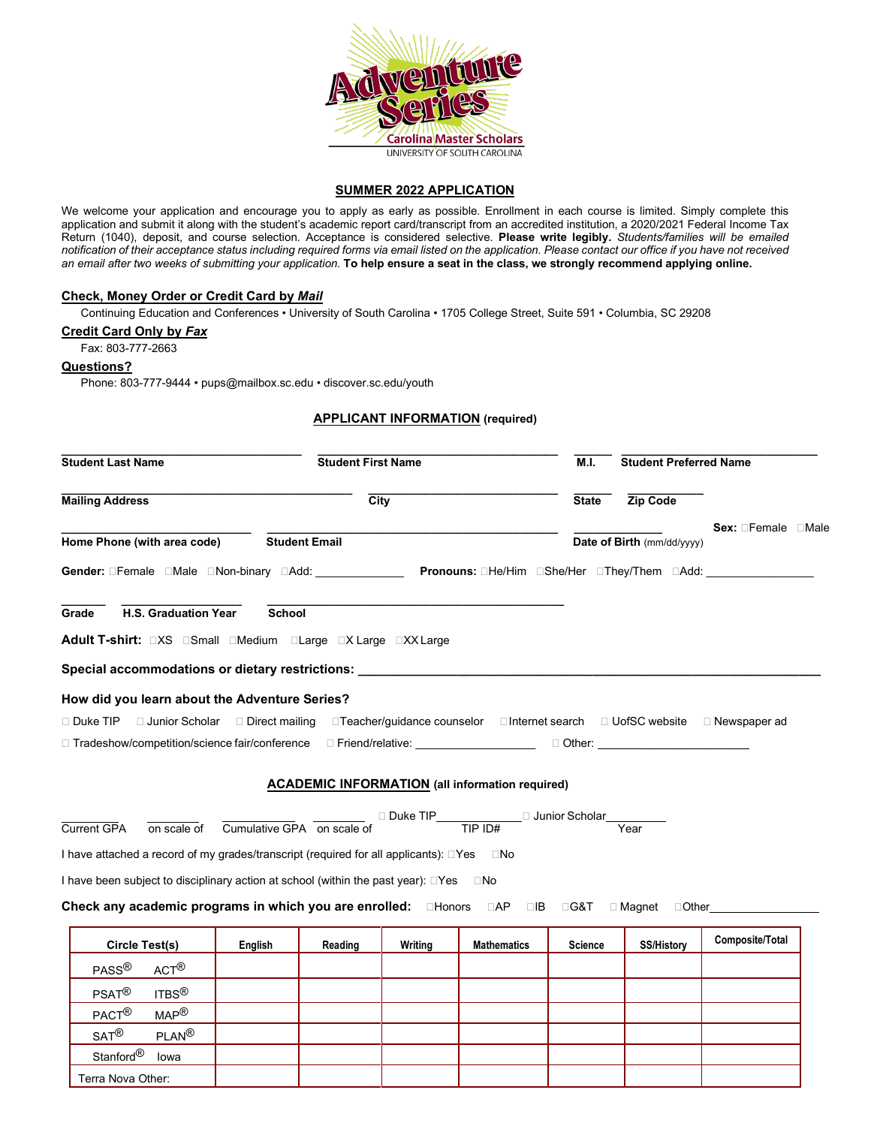

### **SUMMER 2022 APPLICATION**

We welcome your application and encourage you to apply as early as possible. Enrollment in each course is limited. Simply complete this application and submit it along with the student's academic report card/transcript from an accredited institution, a 2020/2021 Federal Income Tax Return (1040), deposit, and course selection. Acceptance is considered selective. **Please write legibly.** *Students/families will be emailed notification of their acceptance status including required forms via email listed on the application. Please contact our office if you have not received an email after two weeks of submitting your application.* **To help ensure a seat in the class, we strongly recommend applying online.**

## **Check, Money Order or Credit Card by** *Mail*

Continuing Education and Conferences • University of South Carolina • 1705 College Street, Suite 591 • Columbia, SC 29208

#### **Credit Card Only by** *Fax*

Stanford® Iowa Terra Nova Other:

Fax: 803-777-2663

#### **Questions?**

Phone: 803-777-9444 • [pups@mailbox.sc.edu](mailto:pups@mailbox.sc.edu) • discover.sc.edu/youth

# **APPLICANT INFORMATION (required)**

| <b>Student Last Name</b>                                                                                                   |                                                                                 | <b>Student First Name</b> |                    |                | <b>Student Preferred Name</b>                          |                 |  |  |  |  |
|----------------------------------------------------------------------------------------------------------------------------|---------------------------------------------------------------------------------|---------------------------|--------------------|----------------|--------------------------------------------------------|-----------------|--|--|--|--|
| <b>Mailing Address</b>                                                                                                     |                                                                                 | $\overline{City}$         |                    | <b>State</b>   | Zip Code                                               |                 |  |  |  |  |
| Home Phone (with area code)<br><b>Student Email</b>                                                                        |                                                                                 |                           |                    |                | Sex: <b>Female</b> DMale<br>Date of Birth (mm/dd/yyyy) |                 |  |  |  |  |
| Gender: ⊡Female ⊡Male ⊡Non-binary ⊟Add: _____________________Pronouns: ⊡He/Him ⊡She/Her ⊡They/Them ⊡Add: _____             |                                                                                 |                           |                    |                |                                                        |                 |  |  |  |  |
| <b>H.S. Graduation Year</b><br>Grade                                                                                       | <b>School</b>                                                                   |                           |                    |                |                                                        |                 |  |  |  |  |
|                                                                                                                            |                                                                                 |                           |                    |                |                                                        |                 |  |  |  |  |
| Special accommodations or dietary restrictions: ________________________________                                           |                                                                                 |                           |                    |                |                                                        |                 |  |  |  |  |
| How did you learn about the Adventure Series?                                                                              |                                                                                 |                           |                    |                |                                                        |                 |  |  |  |  |
| □ Duke TIP □ Junior Scholar □ Direct mailing □ Teacher/guidance counselor □ Internet search □ UofSC website □ Newspaper ad |                                                                                 |                           |                    |                |                                                        |                 |  |  |  |  |
| □ Tradeshow/competition/science fair/conference  D Friend/relative: __________________________Other: _______________       |                                                                                 |                           |                    |                |                                                        |                 |  |  |  |  |
|                                                                                                                            |                                                                                 |                           |                    |                |                                                        |                 |  |  |  |  |
|                                                                                                                            | <b>ACADEMIC INFORMATION</b> (all information required)                          |                           |                    |                |                                                        |                 |  |  |  |  |
|                                                                                                                            | on scale of Cumulative GPA on scale of □ Duke TIP TIP ID# □ Junior Scholar Year |                           |                    |                |                                                        |                 |  |  |  |  |
| <b>Current GPA</b>                                                                                                         |                                                                                 |                           |                    |                |                                                        |                 |  |  |  |  |
| I have attached a record of my grades/transcript (required for all applicants): □Yes □No                                   |                                                                                 |                           |                    |                |                                                        |                 |  |  |  |  |
| I have been subject to disciplinary action at school (within the past year): □Yes □No                                      |                                                                                 |                           |                    |                |                                                        |                 |  |  |  |  |
| Check any academic programs in which you are enrolled: □Honors □AP □B □G&T □Magnet □Other_                                 |                                                                                 |                           |                    |                |                                                        |                 |  |  |  |  |
|                                                                                                                            |                                                                                 |                           |                    |                |                                                        |                 |  |  |  |  |
| Circle Test(s)                                                                                                             | English<br>Reading                                                              | Writing                   | <b>Mathematics</b> | <b>Science</b> | <b>SS/History</b>                                      | Composite/Total |  |  |  |  |
| PASS <sup>®</sup><br>ACT <sup>(8)</sup>                                                                                    |                                                                                 |                           |                    |                |                                                        |                 |  |  |  |  |
| ITBS $^{\circledR}$<br>$PSAT^{\circledR}$                                                                                  |                                                                                 |                           |                    |                |                                                        |                 |  |  |  |  |
| PACT <sup>®</sup><br>MAP <sup>®</sup>                                                                                      |                                                                                 |                           |                    |                |                                                        |                 |  |  |  |  |
| $SAT^{\circledR}$<br>$PI AN^{\circledR}$                                                                                   |                                                                                 |                           |                    |                |                                                        |                 |  |  |  |  |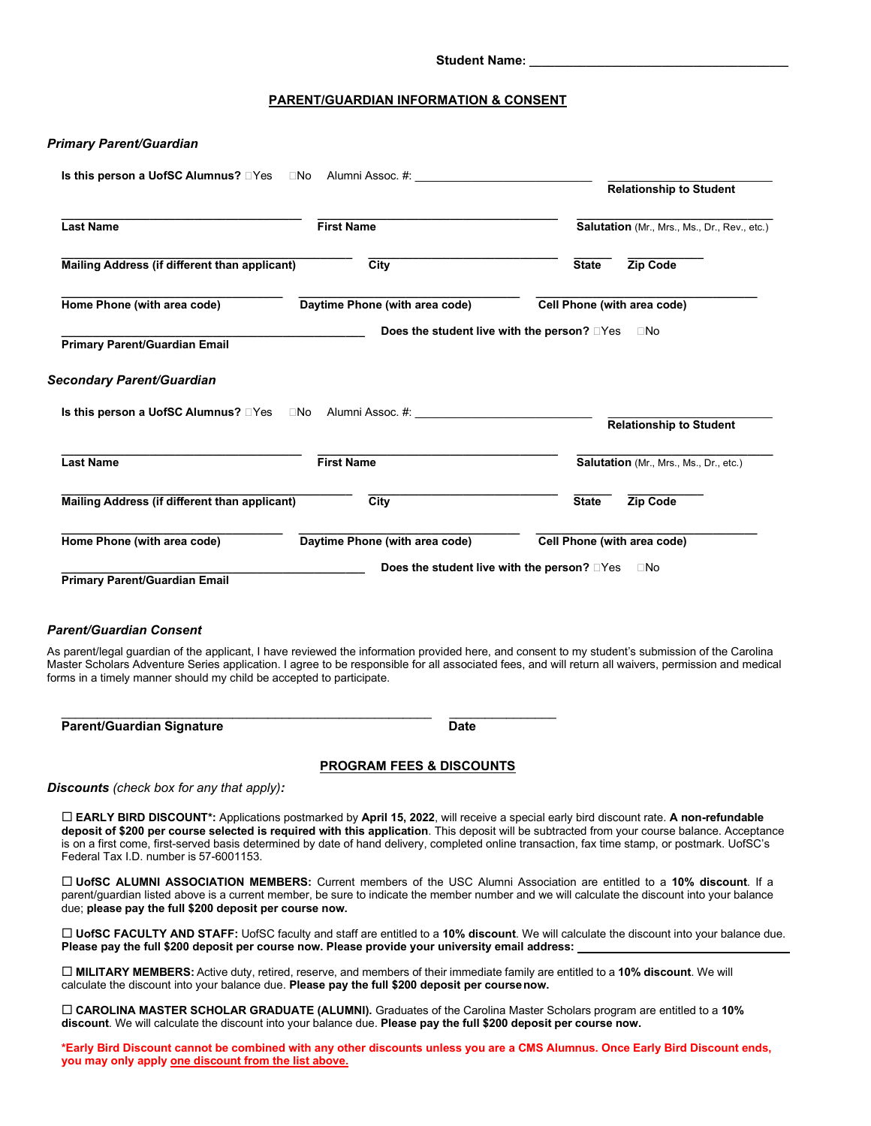#### Student Name:

### **PARENT/GUARDIAN INFORMATION & CONSENT**

### *Primary Parent/Guardian*

| Is this person a UofSC Alumnus? □Yes                                 | Alumni Assoc. #: www.community.com/<br>$\square$ No | <b>Relationship to Student</b>                                                                                                                                                                                                                                                                           |
|----------------------------------------------------------------------|-----------------------------------------------------|----------------------------------------------------------------------------------------------------------------------------------------------------------------------------------------------------------------------------------------------------------------------------------------------------------|
| <b>Last Name</b>                                                     | <b>First Name</b>                                   | Salutation (Mr., Mrs., Ms., Dr., Rev., etc.)                                                                                                                                                                                                                                                             |
| Mailing Address (if different than applicant)                        | City                                                | Zip Code<br><b>State</b>                                                                                                                                                                                                                                                                                 |
| Home Phone (with area code)                                          | Cell Phone (with area code)                         |                                                                                                                                                                                                                                                                                                          |
| <b>Primary Parent/Guardian Email</b>                                 |                                                     | Does the student live with the person? <b>Dymet</b><br>$\square$ No                                                                                                                                                                                                                                      |
| Secondary Parent/Guardian                                            |                                                     |                                                                                                                                                                                                                                                                                                          |
| Is this person a UofSC Alumnus? □Yes □No                             |                                                     | <b>Relationship to Student</b>                                                                                                                                                                                                                                                                           |
| <b>Last Name</b>                                                     | <b>First Name</b>                                   | Salutation (Mr., Mrs., Ms., Dr., etc.)                                                                                                                                                                                                                                                                   |
| Mailing Address (if different than applicant)                        | City                                                | Zip Code<br><b>State</b>                                                                                                                                                                                                                                                                                 |
| Home Phone (with area code)                                          | Daytime Phone (with area code)                      | Cell Phone (with area code)                                                                                                                                                                                                                                                                              |
| Primary Parent/Guardian Email                                        |                                                     | Does the student live with the person? □Yes<br>$\square$ No                                                                                                                                                                                                                                              |
| Parent/Guardian Consent                                              |                                                     |                                                                                                                                                                                                                                                                                                          |
| forms in a timely manner should my child be accepted to participate. |                                                     | As parent/legal guardian of the applicant, I have reviewed the information provided here, and consent to my student's submission of the Carolina<br>Master Scholars Adventure Series application. I agree to be responsible for all associated fees, and will return all waivers, permission and medical |
| <b>Parent/Guardian Signature</b>                                     | <b>Date</b>                                         |                                                                                                                                                                                                                                                                                                          |
|                                                                      | <b>PROGRAM FEES &amp; DISCOUNTS</b>                 |                                                                                                                                                                                                                                                                                                          |
| Discounts (check box for any that apply):                            |                                                     |                                                                                                                                                                                                                                                                                                          |
|                                                                      |                                                     | $\Box$ FADI V RIPD DISCOLINT*: Applications postmarked by April 15, 2022, will receive a special early bird discount rate. A non-refundable                                                                                                                                                              |

 **EARLY BIRD DISCOUNT\*:** Applications postmarked by **April 15, 2022**, will receive a special early bird discount rate. **A non-refundable deposit of \$200 per course selected is required with this application**. This deposit will be subtracted from your course balance. Acceptance is on a first come, first-served basis determined by date of hand delivery, completed online transaction, fax time stamp, or postmark. UofSC's Federal Tax I.D. number is 57-6001153.

 **UofSC ALUMNI ASSOCIATION MEMBERS:** Current members of the USC Alumni Association are entitled to a **10% discount**. If a parent/guardian listed above is a current member, be sure to indicate the member number and we will calculate the discount into your balance due; **please pay the full \$200 deposit per course now.**

 **UofSC FACULTY AND STAFF:** UofSC faculty and staff are entitled to a **10% discount**. We will calculate the discount into your balance due. **Please pay the full \$200 deposit per course now. Please provide your university email address:** 

 **MILITARY MEMBERS:** Active duty, retired, reserve, and members of their immediate family are entitled to a **10% discount**. We will calculate the discount into your balance due. **Please pay the full \$200 deposit per coursenow.**

 **CAROLINA MASTER SCHOLAR GRADUATE (ALUMNI).** Graduates of the Carolina Master Scholars program are entitled to a **10% discount**. We will calculate the discount into your balance due. **Please pay the full \$200 deposit per course now.**

**\*Early Bird Discount cannot be combined with any other discounts unless you are a CMS Alumnus. Once Early Bird Discount ends, you may only apply one discount from the list above.**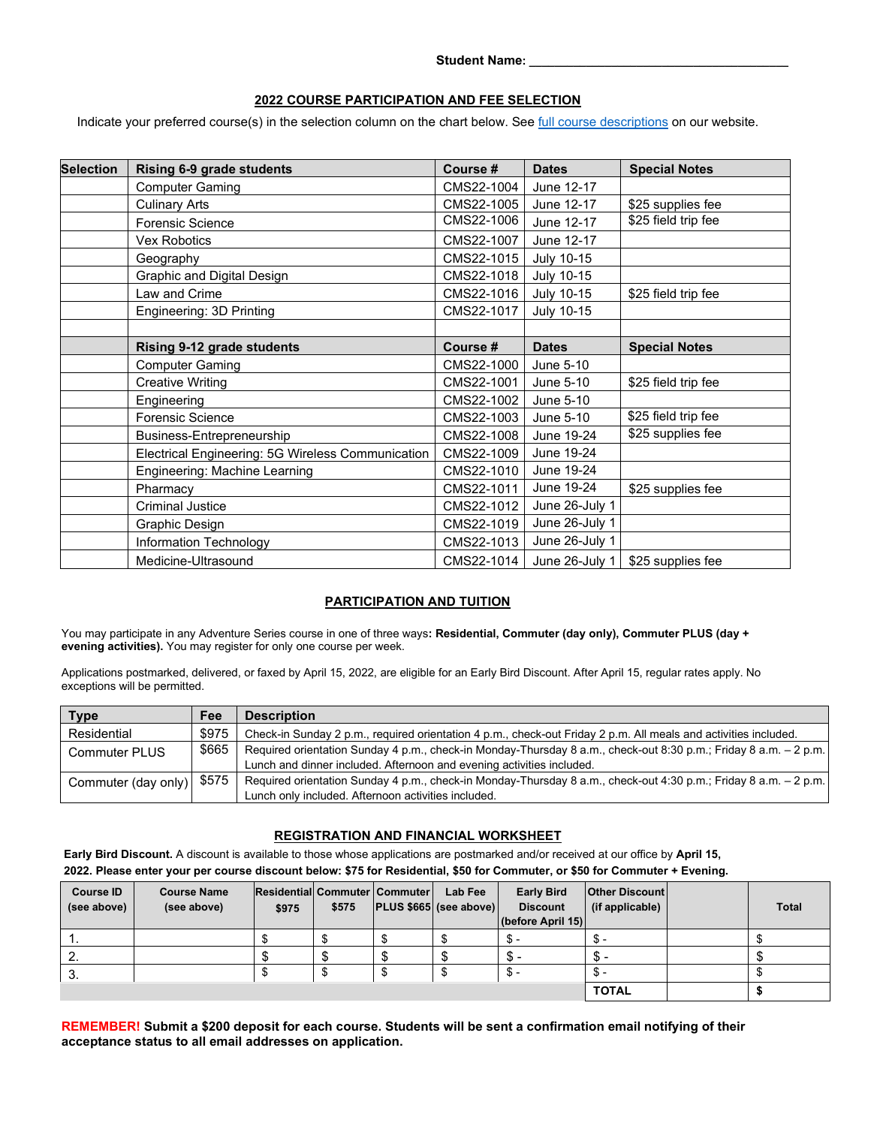Student Name:

# **2022 COURSE PARTICIPATION AND FEE SELECTION**

Indicate your preferred course(s) in the selection column on the chart below. See [full course descriptions](https://sc.edu/about/offices_and_divisions/continuing_education/youth_and_teen_pre-university_programs/carolina_master_scholars_adventure_series/summer_2022_camps/index.php) on our website.

| <b>Selection</b> | Rising 6-9 grade students                         | Course #   | <b>Dates</b>      | <b>Special Notes</b> |
|------------------|---------------------------------------------------|------------|-------------------|----------------------|
|                  | <b>Computer Gaming</b>                            | CMS22-1004 | June 12-17        |                      |
|                  | <b>Culinary Arts</b>                              | CMS22-1005 | June 12-17        | \$25 supplies fee    |
|                  | <b>Forensic Science</b>                           | CMS22-1006 | June 12-17        | \$25 field trip fee  |
|                  | <b>Vex Robotics</b>                               | CMS22-1007 | June 12-17        |                      |
|                  | Geography                                         | CMS22-1015 | <b>July 10-15</b> |                      |
|                  | Graphic and Digital Design                        | CMS22-1018 | <b>July 10-15</b> |                      |
|                  | Law and Crime                                     | CMS22-1016 | July 10-15        | \$25 field trip fee  |
|                  | Engineering: 3D Printing                          | CMS22-1017 | July 10-15        |                      |
|                  |                                                   |            |                   |                      |
|                  | <b>Rising 9-12 grade students</b>                 | Course #   | <b>Dates</b>      | <b>Special Notes</b> |
|                  | <b>Computer Gaming</b>                            | CMS22-1000 | June 5-10         |                      |
|                  | <b>Creative Writing</b>                           | CMS22-1001 | June 5-10         | \$25 field trip fee  |
|                  | Engineering                                       | CMS22-1002 | June 5-10         |                      |
|                  | <b>Forensic Science</b>                           | CMS22-1003 | June 5-10         | \$25 field trip fee  |
|                  | Business-Entrepreneurship                         | CMS22-1008 | June 19-24        | \$25 supplies fee    |
|                  | Electrical Engineering: 5G Wireless Communication | CMS22-1009 | June 19-24        |                      |
|                  | Engineering: Machine Learning                     | CMS22-1010 | June 19-24        |                      |
|                  | Pharmacy                                          | CMS22-1011 | June 19-24        | \$25 supplies fee    |
|                  | <b>Criminal Justice</b>                           | CMS22-1012 | June 26-July 1    |                      |
|                  | Graphic Design                                    | CMS22-1019 | June 26-July 1    |                      |
|                  | Information Technology                            | CMS22-1013 | June 26-July 1    |                      |
|                  | Medicine-Ultrasound                               | CMS22-1014 | June 26-July 1    | \$25 supplies fee    |

# **PARTICIPATION AND TUITION**

You may participate in any Adventure Series course in one of three ways**: Residential, Commuter (day only), Commuter PLUS (day + evening activities).** You may register for only one course per week.

Applications postmarked, delivered, or faxed by April 15, 2022, are eligible for an Early Bird Discount. After April 15, regular rates apply. No exceptions will be permitted.

| Type                        | Fee   | <b>Description</b>                                                                                               |
|-----------------------------|-------|------------------------------------------------------------------------------------------------------------------|
| Residential                 | \$975 | Check-in Sunday 2 p.m., required orientation 4 p.m., check-out Friday 2 p.m. All meals and activities included.  |
| <b>Commuter PLUS</b>        | \$665 | Required orientation Sunday 4 p.m., check-in Monday-Thursday 8 a.m., check-out 8:30 p.m.; Friday 8 a.m. - 2 p.m. |
|                             |       | Lunch and dinner included. Afternoon and evening activities included.                                            |
| Commuter (day only)   \$575 |       | Required orientation Sunday 4 p.m., check-in Monday-Thursday 8 a.m., check-out 4:30 p.m.; Friday 8 a.m. - 2 p.m. |
|                             |       | Lunch only included. Afternoon activities included.                                                              |

# **REGISTRATION AND FINANCIAL WORKSHEET**

**Early Bird Discount.** A discount is available to those whose applications are postmarked and/or received at our office by **April 15, 2022. Please enter your per course discount below: \$75 for Residential, \$50 for Commuter, or \$50 for Commuter + Evening.**

| <b>Course ID</b><br>(see above) | <b>Course Name</b><br>(see above) | Residential Commuter   Commuter  <br>\$975 | \$575 | Lab Fee<br>$ PLUS $665 $ (see above) | <b>Early Bird</b><br><b>Discount</b><br>(before April 15) | <b>Other Discount</b><br>(if applicable) | <b>Total</b> |
|---------------------------------|-----------------------------------|--------------------------------------------|-------|--------------------------------------|-----------------------------------------------------------|------------------------------------------|--------------|
| . .                             |                                   |                                            |       |                                      | \$-                                                       | ზ-                                       |              |
| ۷.                              |                                   |                                            |       |                                      | \$-                                                       | Տ.                                       |              |
| З.                              |                                   |                                            |       |                                      | \$-                                                       | ა -                                      |              |
|                                 |                                   |                                            |       |                                      |                                                           | <b>TOTAL</b>                             |              |

**REMEMBER! Submit a \$200 deposit for each course. Students will be sent a confirmation email notifying of their acceptance status to all email addresses on application.**